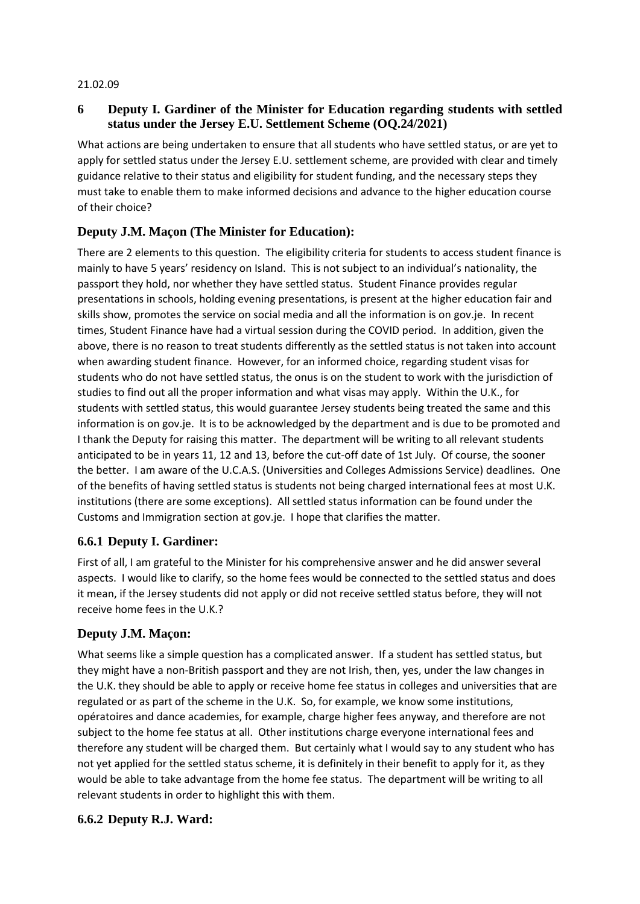#### 21.02.09

## **6 Deputy I. Gardiner of the Minister for Education regarding students with settled status under the Jersey E.U. Settlement Scheme (OQ.24/2021)**

What actions are being undertaken to ensure that all students who have settled status, or are yet to apply for settled status under the Jersey E.U. settlement scheme, are provided with clear and timely guidance relative to their status and eligibility for student funding, and the necessary steps they must take to enable them to make informed decisions and advance to the higher education course of their choice?

# **Deputy J.M. Maçon (The Minister for Education):**

There are 2 elements to this question. The eligibility criteria for students to access student finance is mainly to have 5 years' residency on Island. This is not subject to an individual's nationality, the passport they hold, nor whether they have settled status. Student Finance provides regular presentations in schools, holding evening presentations, is present at the higher education fair and skills show, promotes the service on social media and all the information is on gov.je. In recent times, Student Finance have had a virtual session during the COVID period. In addition, given the above, there is no reason to treat students differently as the settled status is not taken into account when awarding student finance. However, for an informed choice, regarding student visas for students who do not have settled status, the onus is on the student to work with the jurisdiction of studies to find out all the proper information and what visas may apply. Within the U.K., for students with settled status, this would guarantee Jersey students being treated the same and this information is on gov.je. It is to be acknowledged by the department and is due to be promoted and I thank the Deputy for raising this matter. The department will be writing to all relevant students anticipated to be in years 11, 12 and 13, before the cut-off date of 1st July. Of course, the sooner the better. I am aware of the U.C.A.S. (Universities and Colleges Admissions Service) deadlines. One of the benefits of having settled status is students not being charged international fees at most U.K. institutions (there are some exceptions). All settled status information can be found under the Customs and Immigration section at gov.je. I hope that clarifies the matter.

## **6.6.1 Deputy I. Gardiner:**

First of all, I am grateful to the Minister for his comprehensive answer and he did answer several aspects. I would like to clarify, so the home fees would be connected to the settled status and does it mean, if the Jersey students did not apply or did not receive settled status before, they will not receive home fees in the U.K.?

## **Deputy J.M. Maçon:**

What seems like a simple question has a complicated answer. If a student has settled status, but they might have a non-British passport and they are not Irish, then, yes, under the law changes in the U.K. they should be able to apply or receive home fee status in colleges and universities that are regulated or as part of the scheme in the U.K. So, for example, we know some institutions, opératoires and dance academies, for example, charge higher fees anyway, and therefore are not subject to the home fee status at all. Other institutions charge everyone international fees and therefore any student will be charged them. But certainly what I would say to any student who has not yet applied for the settled status scheme, it is definitely in their benefit to apply for it, as they would be able to take advantage from the home fee status. The department will be writing to all relevant students in order to highlight this with them.

## **6.6.2 Deputy R.J. Ward:**